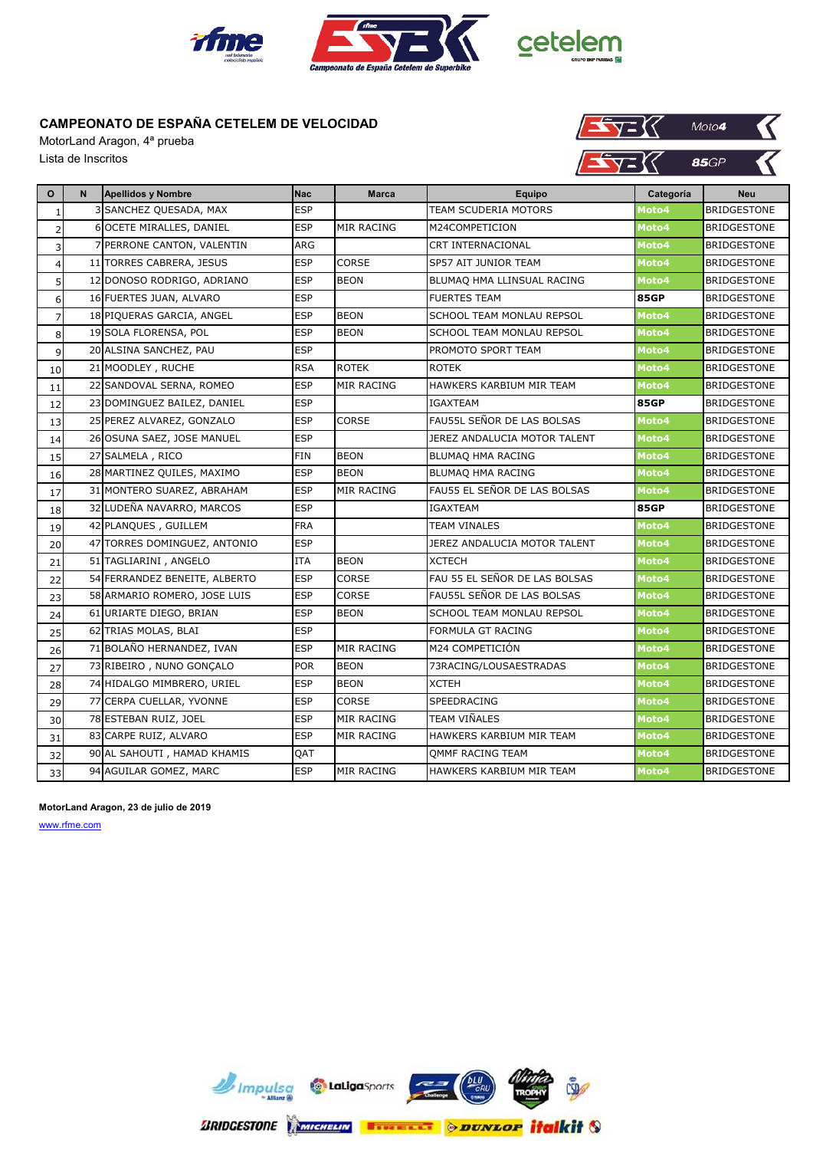

MotorLand Aragon, 4ª prueba Lista de Inscritos



| $\mathbf{o}$   | N. | <b>Apellidos y Nombre</b>     | <b>Nac</b> | <b>Marca</b>      | <b>Equipo</b>                 | Categoría   | <b>Neu</b>         |
|----------------|----|-------------------------------|------------|-------------------|-------------------------------|-------------|--------------------|
| $\mathbf{1}$   |    | 3 SANCHEZ QUESADA, MAX        | <b>ESP</b> |                   | TEAM SCUDERIA MOTORS          | Moto4       | <b>BRIDGESTONE</b> |
| $\overline{2}$ |    | 6 OCETE MIRALLES, DANIEL      | <b>ESP</b> | <b>MIR RACING</b> | M24COMPETICION                | Moto4       | <b>BRIDGESTONE</b> |
| 3              |    | 7 PERRONE CANTON, VALENTIN    | ARG        |                   | CRT INTERNACIONAL             | Moto4       | <b>BRIDGESTONE</b> |
| $\overline{4}$ |    | 11 TORRES CABRERA, JESUS      | <b>ESP</b> | CORSE             | SP57 AIT JUNIOR TEAM          | Moto4       | <b>BRIDGESTONE</b> |
| 5 <sub>l</sub> |    | 12 DONOSO RODRIGO, ADRIANO    | <b>ESP</b> | <b>BEON</b>       | BLUMAQ HMA LLINSUAL RACING    | Moto4       | BRIDGESTONE        |
| 6              |    | 16 FUERTES JUAN, ALVARO       | <b>ESP</b> |                   | <b>FUERTES TEAM</b>           | <b>85GP</b> | BRIDGESTONE        |
| $\overline{7}$ |    | 18 PIQUERAS GARCIA, ANGEL     | <b>ESP</b> | <b>BEON</b>       | SCHOOL TEAM MONLAU REPSOL     | Moto4       | BRIDGESTONE        |
| 8              |    | 19 SOLA FLORENSA, POL         | <b>ESP</b> | <b>BEON</b>       | SCHOOL TEAM MONLAU REPSOL     | Moto4       | <b>BRIDGESTONE</b> |
| $\overline{9}$ |    | 20 ALSINA SANCHEZ, PAU        | <b>ESP</b> |                   | PROMOTO SPORT TEAM            | Moto4       | <b>BRIDGESTONE</b> |
| 10             |    | 21 MOODLEY, RUCHE             | <b>RSA</b> | <b>ROTEK</b>      | <b>ROTEK</b>                  | Moto4       | <b>BRIDGESTONE</b> |
| 11             |    | 22 SANDOVAL SERNA, ROMEO      | <b>ESP</b> | MIR RACING        | HAWKERS KARBIUM MIR TEAM      | Moto4       | BRIDGESTONE        |
| 12             |    | 23 DOMINGUEZ BAILEZ, DANIEL   | <b>ESP</b> |                   | IGAXTEAM                      | <b>85GP</b> | BRIDGESTONE        |
| 13             |    | 25 PEREZ ALVAREZ, GONZALO     | <b>ESP</b> | <b>CORSE</b>      | FAU55L SEÑOR DE LAS BOLSAS    | Moto4       | <b>BRIDGESTONE</b> |
| 14             |    | 26 OSUNA SAEZ, JOSE MANUEL    | <b>ESP</b> |                   | JEREZ ANDALUCIA MOTOR TALENT  | Moto4       | <b>BRIDGESTONE</b> |
| 15             |    | 27 SALMELA, RICO              | <b>FIN</b> | <b>BEON</b>       | BLUMAO HMA RACING             | Moto4       | BRIDGESTONE        |
| 16             |    | 28 MARTINEZ QUILES, MAXIMO    | <b>ESP</b> | <b>BEON</b>       | BLUMAQ HMA RACING             | Moto4       | BRIDGESTONE        |
| 17             |    | 31 MONTERO SUAREZ, ABRAHAM    | <b>ESP</b> | <b>MIR RACING</b> | FAU55 EL SEÑOR DE LAS BOLSAS  | Moto4       | <b>BRIDGESTONE</b> |
| 18             |    | 32 LUDEÑA NAVARRO, MARCOS     | <b>ESP</b> |                   | IGAXTEAM                      | <b>85GP</b> | <b>BRIDGESTONE</b> |
| 19             |    | 42 PLANQUES, GUILLEM          | <b>FRA</b> |                   | <b>TEAM VINALES</b>           | Moto4       | <b>BRIDGESTONE</b> |
| 20             |    | 47 TORRES DOMINGUEZ, ANTONIO  | <b>ESP</b> |                   | JEREZ ANDALUCIA MOTOR TALENT  | Moto4       | <b>BRIDGESTONE</b> |
| 21             |    | 51 TAGLIARINI, ANGELO         | <b>ITA</b> | <b>BEON</b>       | <b>XCTECH</b>                 | Moto4       | BRIDGESTONE        |
| 22             |    | 54 FERRANDEZ BENEITE, ALBERTO | <b>ESP</b> | <b>CORSE</b>      | FAU 55 EL SEÑOR DE LAS BOLSAS | Moto4       | <b>BRIDGESTONE</b> |
| 23             |    | 58 ARMARIO ROMERO, JOSE LUIS  | <b>ESP</b> | CORSE             | FAU55L SEÑOR DE LAS BOLSAS    | Moto4       | <b>BRIDGESTONE</b> |
| 24             |    | 61 URIARTE DIEGO, BRIAN       | <b>ESP</b> | <b>BEON</b>       | SCHOOL TEAM MONLAU REPSOL     | Moto4       | <b>BRIDGESTONE</b> |
| 25             |    | 62 TRIAS MOLAS, BLAI          | <b>ESP</b> |                   | FORMULA GT RACING             | Moto4       | <b>BRIDGESTONE</b> |
| 26             |    | 71 BOLAÑO HERNANDEZ, IVAN     | <b>ESP</b> | <b>MIR RACING</b> | M24 COMPETICIÓN               | Moto4       | <b>BRIDGESTONE</b> |
| 27             |    | 73 RIBEIRO, NUNO GONÇALO      | <b>POR</b> | <b>BEON</b>       | 73RACING/LOUSAESTRADAS        | Moto4       | <b>BRIDGESTONE</b> |
| 28             |    | 74 HIDALGO MIMBRERO, URIEL    | <b>ESP</b> | <b>BEON</b>       | <b>XCTEH</b>                  | Moto4       | <b>BRIDGESTONE</b> |
| 29             |    | 77 CERPA CUELLAR, YVONNE      | <b>ESP</b> | <b>CORSE</b>      | SPEEDRACING                   | Moto4       | <b>BRIDGESTONE</b> |
| 30             |    | 78 ESTEBAN RUIZ, JOEL         | <b>ESP</b> | <b>MIR RACING</b> | TEAM VIÑALES                  | Moto4       | <b>BRIDGESTONE</b> |
| 31             |    | 83 CARPE RUIZ, ALVARO         | <b>ESP</b> | <b>MIR RACING</b> | HAWKERS KARBIUM MIR TEAM      | Moto4       | <b>BRIDGESTONE</b> |
| 32             |    | 90 AL SAHOUTI, HAMAD KHAMIS   | QAT        |                   | OMMF RACING TEAM              | Moto4       | <b>BRIDGESTONE</b> |
| 33             |    | 94 AGUILAR GOMEZ, MARC        | <b>ESP</b> | <b>MIR RACING</b> | HAWKERS KARBIUM MIR TEAM      | Moto4       | <b>BRIDGESTONE</b> |

**MotorLand Aragon, 23 de julio de 2019**

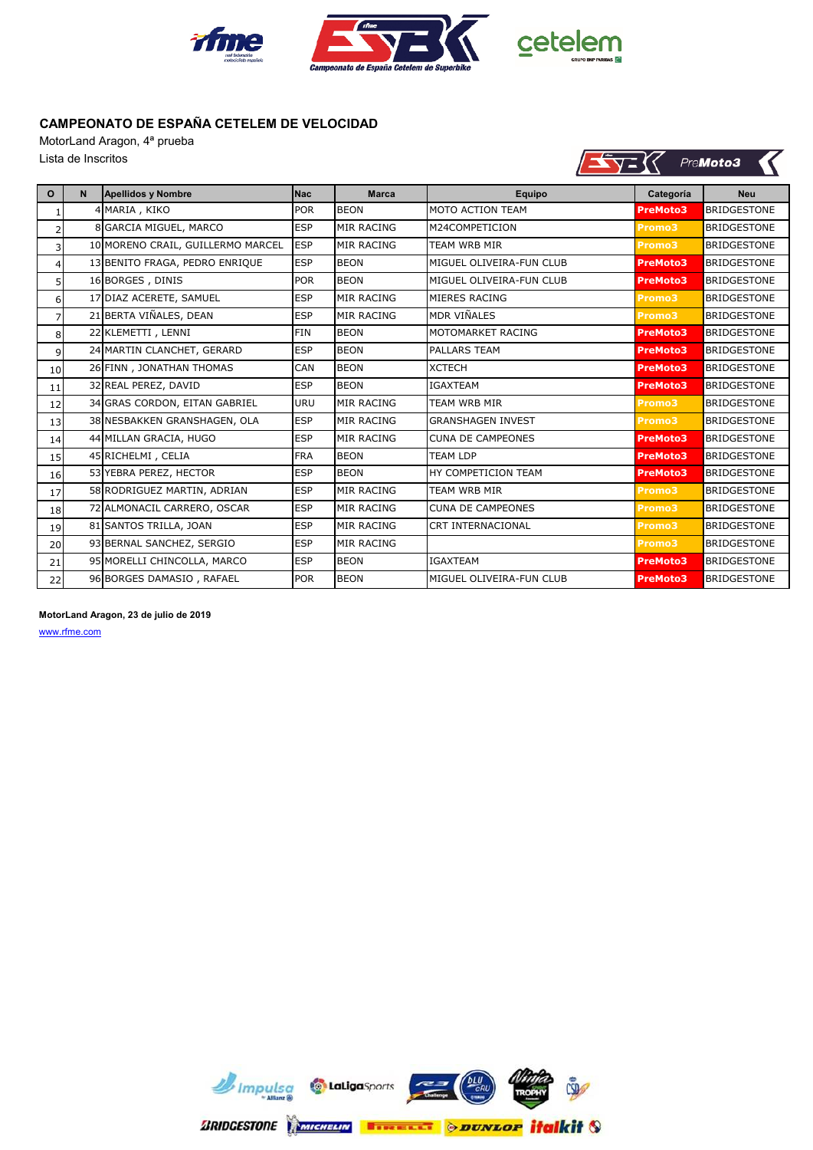

 $\sqrt{\sqrt{2}}$ 

PreMoto3

К

### **CAMPEONATO DE ESPAÑA CETELEM DE VELOCIDAD**

MotorLand Aragon, 4ª prueba Lista de Inscritos

| O              | N. | Apellidos y Nombre                | <b>Nac</b> | <b>Marca</b>      | Equipo                   | Categoría       | <b>Neu</b>         |
|----------------|----|-----------------------------------|------------|-------------------|--------------------------|-----------------|--------------------|
|                |    | 4 MARIA, KIKO                     | <b>POR</b> | <b>BEON</b>       | <b>MOTO ACTION TEAM</b>  | <b>PreMoto3</b> | <b>BRIDGESTONE</b> |
| $\overline{2}$ |    | 8 GARCIA MIGUEL, MARCO            | <b>ESP</b> | <b>MIR RACING</b> | M24COMPETICION           | Promo3          | <b>BRIDGESTONE</b> |
| 3              |    | 10 MORENO CRAIL, GUILLERMO MARCEL | <b>ESP</b> | <b>MIR RACING</b> | <b>TEAM WRB MIR</b>      | Promo3          | <b>BRIDGESTONE</b> |
| $\overline{4}$ |    | 13 BENITO FRAGA, PEDRO ENRIQUE    | <b>ESP</b> | <b>BEON</b>       | MIGUEL OLIVEIRA-FUN CLUB | <b>PreMoto3</b> | <b>BRIDGESTONE</b> |
| 5              |    | 16 BORGES, DINIS                  | <b>POR</b> | <b>BEON</b>       | MIGUEL OLIVEIRA-FUN CLUB | <b>PreMoto3</b> | <b>BRIDGESTONE</b> |
| $6 \mid$       |    | 17 DIAZ ACERETE, SAMUEL           | <b>ESP</b> | <b>MIR RACING</b> | MIERES RACING            | Promo3          | <b>BRIDGESTONE</b> |
| $\overline{7}$ |    | 21 BERTA VIÑALES, DEAN            | <b>ESP</b> | <b>MIR RACING</b> | <b>MDR VIÑALES</b>       | Promo3          | <b>BRIDGESTONE</b> |
| 8              |    | 22 KLEMETTI, LENNI                | <b>FIN</b> | <b>BEON</b>       | MOTOMARKET RACING        | <b>PreMoto3</b> | <b>BRIDGESTONE</b> |
| $\overline{9}$ |    | 24 MARTIN CLANCHET, GERARD        | <b>ESP</b> | <b>BEON</b>       | <b>PALLARS TEAM</b>      | <b>PreMoto3</b> | <b>BRIDGESTONE</b> |
| 10             |    | 26 FINN, JONATHAN THOMAS          | CAN        | <b>BEON</b>       | <b>XCTECH</b>            | <b>PreMoto3</b> | <b>BRIDGESTONE</b> |
| 11             |    | 32 REAL PEREZ, DAVID              | <b>ESP</b> | <b>BEON</b>       | <b>IGAXTEAM</b>          | <b>PreMoto3</b> | <b>BRIDGESTONE</b> |
| 12             |    | 34 GRAS CORDON, EITAN GABRIEL     | URU        | <b>MIR RACING</b> | <b>TEAM WRB MIR</b>      | Promo3          | <b>BRIDGESTONE</b> |
| 13             |    | 38 NESBAKKEN GRANSHAGEN, OLA      | <b>ESP</b> | <b>MIR RACING</b> | <b>GRANSHAGEN INVEST</b> | Promo3          | <b>BRIDGESTONE</b> |
| 14             |    | 44 MILLAN GRACIA, HUGO            | <b>ESP</b> | <b>MIR RACING</b> | <b>CUNA DE CAMPEONES</b> | <b>PreMoto3</b> | <b>BRIDGESTONE</b> |
| 15             |    | 45 RICHELMI, CELIA                | <b>FRA</b> | <b>BEON</b>       | <b>TEAM LDP</b>          | <b>PreMoto3</b> | <b>BRIDGESTONE</b> |
| 16             |    | 53 YEBRA PEREZ, HECTOR            | <b>ESP</b> | <b>BEON</b>       | HY COMPETICION TEAM      | <b>PreMoto3</b> | <b>BRIDGESTONE</b> |
| 17             |    | 58 RODRIGUEZ MARTIN, ADRIAN       | <b>ESP</b> | <b>MIR RACING</b> | <b>TEAM WRB MIR</b>      | Promo3          | <b>BRIDGESTONE</b> |
| 18             |    | 72 ALMONACIL CARRERO, OSCAR       | <b>ESP</b> | <b>MIR RACING</b> | <b>CUNA DE CAMPEONES</b> | Promo3          | <b>BRIDGESTONE</b> |
| 19             |    | 81 SANTOS TRILLA, JOAN            | <b>ESP</b> | <b>MIR RACING</b> | <b>CRT INTERNACIONAL</b> | Promo3          | <b>BRIDGESTONE</b> |
| 20             |    | 93 BERNAL SANCHEZ, SERGIO         | <b>ESP</b> | <b>MIR RACING</b> |                          | Promo3          | <b>BRIDGESTONE</b> |
| 21             |    | 95 MORELLI CHINCOLLA, MARCO       | <b>ESP</b> | <b>BEON</b>       | <b>IGAXTEAM</b>          | <b>PreMoto3</b> | <b>BRIDGESTONE</b> |
| 22             |    | 96 BORGES DAMASIO, RAFAEL         | <b>POR</b> | <b>BEON</b>       | MIGUEL OLIVEIRA-FUN CLUB | <b>PreMoto3</b> | <b>BRIDGESTONE</b> |

#### **MotorLand Aragon, 23 de julio de 2019**

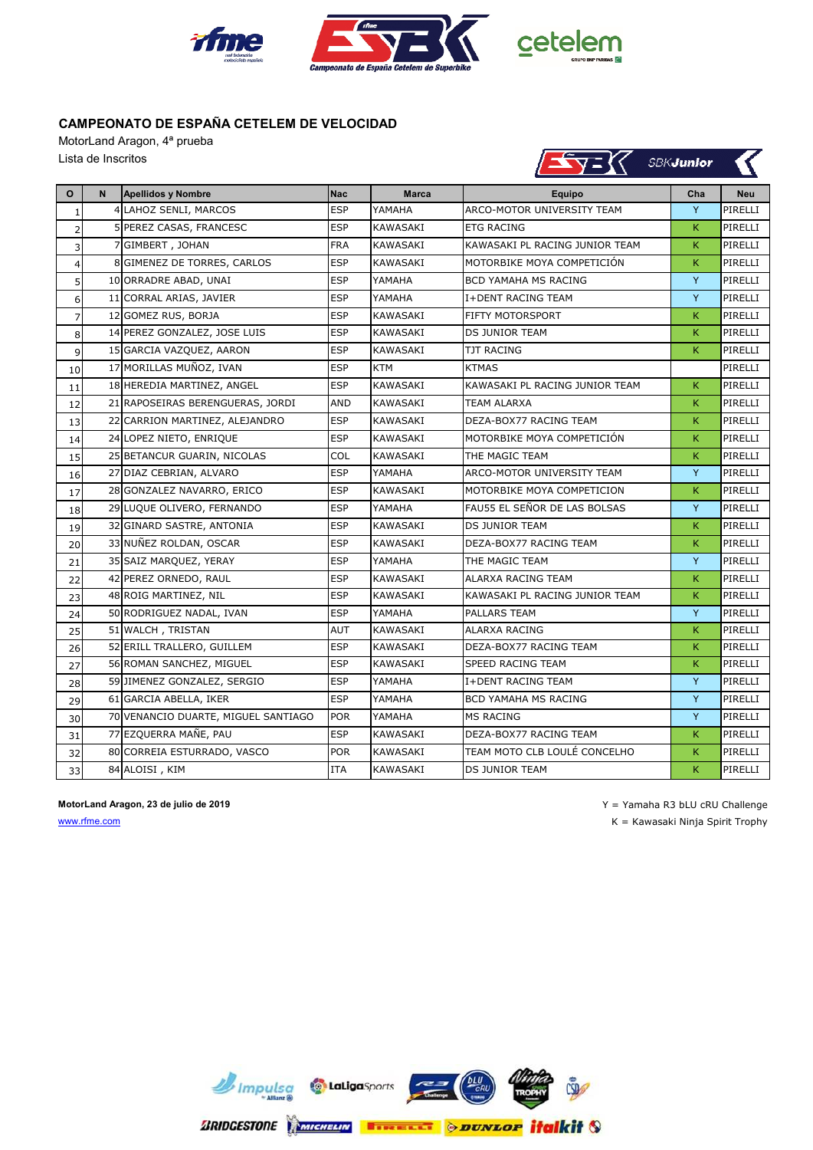

MotorLand Aragon, 4ª prueba Lista de Inscritos

| $\blacktriangle$ y= $\aleph$<br>Lista de Inscritos<br><b>SBKJunior</b> |   |                                     |            |                 |                                |     |            |
|------------------------------------------------------------------------|---|-------------------------------------|------------|-----------------|--------------------------------|-----|------------|
| $\mathbf{o}$                                                           | N | <b>Apellidos y Nombre</b>           | <b>Nac</b> | <b>Marca</b>    | <b>Equipo</b>                  | Cha | <b>Neu</b> |
| $\mathbf{1}$                                                           |   | 4 LAHOZ SENLI, MARCOS               | <b>ESP</b> | YAMAHA          | ARCO-MOTOR UNIVERSITY TEAM     | Y   | PIRELLI    |
| $\overline{2}$                                                         |   | 5 PEREZ CASAS, FRANCESC             | <b>ESP</b> | KAWASAKI        | <b>ETG RACING</b>              | K.  | PIRELLI    |
| 3                                                                      |   | 7 GIMBERT, JOHAN                    | <b>FRA</b> | KAWASAKI        | KAWASAKI PL RACING JUNIOR TEAM | K.  | PIRELLI    |
| $\overline{4}$                                                         |   | 8 GIMENEZ DE TORRES, CARLOS         | <b>ESP</b> | KAWASAKI        | MOTORBIKE MOYA COMPETICIÓN     | K.  | PIRELLI    |
| 5                                                                      |   | 10 ORRADRE ABAD, UNAI               | <b>ESP</b> | YAMAHA          | BCD YAMAHA MS RACING           | Y   | PIRELLI    |
| 6                                                                      |   | 11 CORRAL ARIAS, JAVIER             | <b>ESP</b> | YAMAHA          | I+DENT RACING TEAM             | Y   | PIRELLI    |
| $\overline{7}$                                                         |   | 12 GOMEZ RUS, BORJA                 | <b>ESP</b> | KAWASAKI        | FIFTY MOTORSPORT               | K   | PIRELLI    |
| 8                                                                      |   | 14 PEREZ GONZALEZ, JOSE LUIS        | <b>ESP</b> | KAWASAKI        | DS JUNIOR TEAM                 | K   | PIRELLI    |
| $\overline{9}$                                                         |   | 15 GARCIA VAZQUEZ, AARON            | <b>ESP</b> | KAWASAKI        | TJT RACING                     | K.  | PIRELLI    |
| 10                                                                     |   | 17 MORILLAS MUÑOZ, IVAN             | <b>ESP</b> | KTM             | <b>KTMAS</b>                   |     | PIRELLI    |
| 11                                                                     |   | 18 HEREDIA MARTINEZ, ANGEL          | <b>ESP</b> | KAWASAKI        | KAWASAKI PL RACING JUNIOR TEAM | K   | PIRELLI    |
| 12                                                                     |   | 21 RAPOSEIRAS BERENGUERAS, JORDI    | AND        | KAWASAKI        | TEAM ALARXA                    | K   | PIRELLI    |
| 13                                                                     |   | 22 CARRION MARTINEZ, ALEJANDRO      | <b>ESP</b> | KAWASAKI        | DEZA-BOX77 RACING TEAM         | K.  | PIRELLI    |
| 14                                                                     |   | 24 LOPEZ NIETO, ENRIQUE             | <b>ESP</b> | <b>KAWASAKI</b> | MOTORBIKE MOYA COMPETICIÓN     | K.  | PIRELLI    |
| 15                                                                     |   | 25 BETANCUR GUARIN, NICOLAS         | COL        | KAWASAKI        | THE MAGIC TEAM                 | K.  | PIRELLI    |
| 16                                                                     |   | 27 DIAZ CEBRIAN, ALVARO             | <b>ESP</b> | YAMAHA          | ARCO-MOTOR UNIVERSITY TEAM     | Y   | PIRELLI    |
| 17                                                                     |   | 28 GONZALEZ NAVARRO, ERICO          | <b>ESP</b> | KAWASAKI        | MOTORBIKE MOYA COMPETICION     | K.  | PIRELLI    |
| 18                                                                     |   | 29 LUQUE OLIVERO, FERNANDO          | <b>ESP</b> | YAMAHA          | FAU55 EL SEÑOR DE LAS BOLSAS   | Y   | PIRELLI    |
| 19                                                                     |   | 32 GINARD SASTRE, ANTONIA           | <b>ESP</b> | KAWASAKI        | <b>DS JUNIOR TEAM</b>          | K.  | PIRELLI    |
| 20                                                                     |   | 33 NUÑEZ ROLDAN, OSCAR              | <b>ESP</b> | KAWASAKI        | DEZA-BOX77 RACING TEAM         | K   | PIRELLI    |
| 21                                                                     |   | 35 SAIZ MARQUEZ, YERAY              | <b>ESP</b> | YAMAHA          | THE MAGIC TEAM                 | Y   | PIRELLI    |
| 22                                                                     |   | 42 PEREZ ORNEDO, RAUL               | <b>ESP</b> | KAWASAKI        | ALARXA RACING TEAM             | K.  | PIRELLI    |
| 23                                                                     |   | 48 ROIG MARTINEZ, NIL               | <b>ESP</b> | KAWASAKI        | KAWASAKI PL RACING JUNIOR TEAM | K   | PIRELLI    |
| 24                                                                     |   | 50 RODRIGUEZ NADAL, IVAN            | <b>ESP</b> | YAMAHA          | PALLARS TEAM                   | Y   | PIRELLI    |
| 25                                                                     |   | 51 WALCH, TRISTAN                   | <b>AUT</b> | KAWASAKI        | <b>ALARXA RACING</b>           | K.  | PIRELLI    |
| 26                                                                     |   | 52 ERILL TRALLERO, GUILLEM          | <b>ESP</b> | KAWASAKI        | DEZA-BOX77 RACING TEAM         | K.  | PIRELLI    |
| 27                                                                     |   | 56 ROMAN SANCHEZ, MIGUEL            | <b>ESP</b> | KAWASAKI        | SPEED RACING TEAM              | K   | PIRELLI    |
| 28                                                                     |   | 59 JIMENEZ GONZALEZ, SERGIO         | <b>ESP</b> | YAMAHA          | I+DENT RACING TEAM             | Y   | PIRELLI    |
| 29                                                                     |   | 61 GARCIA ABELLA, IKER              | <b>ESP</b> | YAMAHA          | BCD YAMAHA MS RACING           | Y   | PIRELLI    |
| 30                                                                     |   | 70 VENANCIO DUARTE, MIGUEL SANTIAGO | <b>POR</b> | YAMAHA          | <b>MS RACING</b>               | Y   | PIRELLI    |
| 31                                                                     |   | 77 EZQUERRA MAÑE, PAU               | <b>ESP</b> | KAWASAKI        | DEZA-BOX77 RACING TEAM         | K   | PIRELLI    |
| 32                                                                     |   | 80 CORREIA ESTURRADO, VASCO         | <b>POR</b> | KAWASAKI        | TEAM MOTO CLB LOULÉ CONCELHO   | K   | PIRELLI    |
| 33                                                                     |   | 84 ALOISI, KIM                      | <b>ITA</b> | KAWASAKI        | <b>DS JUNIOR TEAM</b>          | K.  | PIRELLI    |

www.rfme.com K = Kawasaki Ninja Spirit Trophy

**MotorLand Aragon, 23 de julio de 2019** Y = Yamaha R3 bLU cRU Challenge

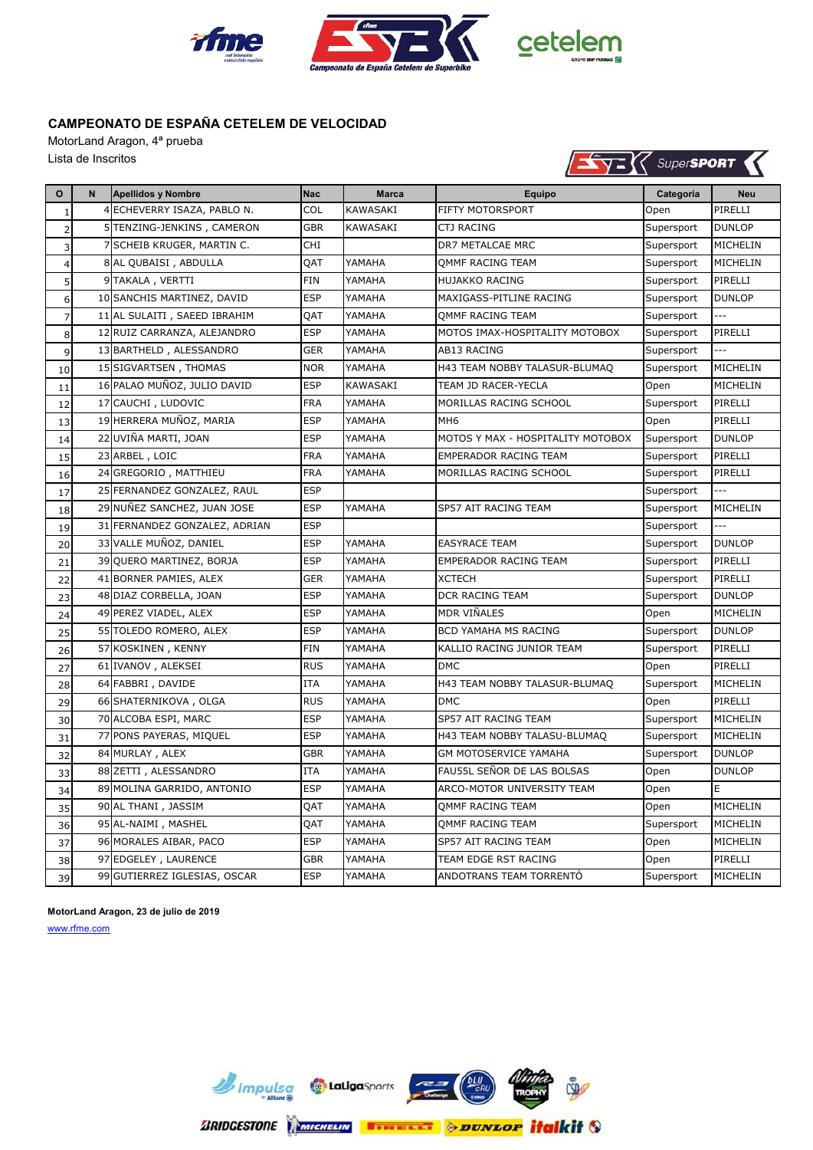

MotorLand Aragon, 4ª prueba Lista de Inscritos



| $\mathbf{o}$   | N | <b>Apellidos y Nombre</b>     | <b>Nac</b> | <b>Marca</b>    | Equipo                            | Categoría  | <b>Neu</b>      |
|----------------|---|-------------------------------|------------|-----------------|-----------------------------------|------------|-----------------|
| $\mathbf{1}$   |   | 4 ECHEVERRY ISAZA, PABLO N.   | COL        | KAWASAKI        | FIFTY MOTORSPORT                  | Open       | PIRELLI         |
| $\overline{2}$ |   | 5 TENZING-JENKINS, CAMERON    | <b>GBR</b> | <b>KAWASAKI</b> | <b>CTJ RACING</b>                 | Supersport | <b>DUNLOP</b>   |
| 3              |   | 7 SCHEIB KRUGER, MARTIN C.    | <b>CHI</b> |                 | DR7 METALCAE MRC                  | Supersport | MICHELIN        |
| $\overline{4}$ |   | 8 AL QUBAISI, ABDULLA         | QAT        | YAMAHA          | OMMF RACING TEAM                  | Supersport | MICHELIN        |
| 5              |   | 9 TAKALA, VERTTI              | <b>FIN</b> | YAMAHA          | <b>HUJAKKO RACING</b>             | Supersport | PIRELLI         |
| 6              |   | 10 SANCHIS MARTINEZ, DAVID    | <b>ESP</b> | YAMAHA          | MAXIGASS-PITLINE RACING           | Supersport | <b>DUNLOP</b>   |
| $\overline{7}$ |   | 11 AL SULAITI, SAEED IBRAHIM  | QAT        | YAMAHA          | QMMF RACING TEAM                  | Supersport | ---             |
| 8              |   | 12 RUIZ CARRANZA, ALEJANDRO   | <b>ESP</b> | YAMAHA          | MOTOS IMAX-HOSPITALITY MOTOBOX    | Supersport | PIRELLI         |
| 9              |   | 13 BARTHELD, ALESSANDRO       | <b>GER</b> | YAMAHA          | AB13 RACING                       | Supersport |                 |
| 10             |   | 15 SIGVARTSEN, THOMAS         | <b>NOR</b> | YAMAHA          | H43 TEAM NOBBY TALASUR-BLUMAQ     | Supersport | MICHELIN        |
| 11             |   | 16 PALAO MUÑOZ, JULIO DAVID   | <b>ESP</b> | KAWASAKI        | TEAM JD RACER-YECLA               | Open       | MICHELIN        |
| 12             |   | 17 CAUCHI, LUDOVIC            | <b>FRA</b> | YAMAHA          | MORILLAS RACING SCHOOL            | Supersport | PIRELLI         |
| 13             |   | 19 HERRERA MUÑOZ, MARIA       | <b>ESP</b> | YAMAHA          | MH <sub>6</sub>                   | Open       | PIRELLI         |
| 14             |   | 22 UVIÑA MARTI, JOAN          | <b>ESP</b> | YAMAHA          | MOTOS Y MAX - HOSPITALITY MOTOBOX | Supersport | <b>DUNLOP</b>   |
| 15             |   | 23 ARBEL, LOIC                | <b>FRA</b> | YAMAHA          | EMPERADOR RACING TEAM             | Supersport | PIRELLI         |
| 16             |   | 24 GREGORIO, MATTHIEU         | <b>FRA</b> | YAMAHA          | MORILLAS RACING SCHOOL            | Supersport | PIRELLI         |
| 17             |   | 25 FERNANDEZ GONZALEZ, RAUL   | <b>ESP</b> |                 |                                   | Supersport |                 |
| 18             |   | 29 NUNEZ SANCHEZ, JUAN JOSE   | <b>ESP</b> | YAMAHA          | SP57 AIT RACING TEAM              | Supersport | MICHELIN        |
| 19             |   | 31 FERNANDEZ GONZALEZ, ADRIAN | <b>ESP</b> |                 |                                   | Supersport |                 |
| 20             |   | 33 VALLE MUÑOZ, DANIEL        | <b>ESP</b> | YAMAHA          | <b>EASYRACE TEAM</b>              | Supersport | <b>DUNLOP</b>   |
| 21             |   | 39 OUERO MARTINEZ, BORJA      | <b>ESP</b> | YAMAHA          | <b>EMPERADOR RACING TEAM</b>      | Supersport | PIRELLI         |
| 22             |   | 41 BORNER PAMIES, ALEX        | <b>GER</b> | YAMAHA          | <b>XCTECH</b>                     | Supersport | PIRELLI         |
| 23             |   | 48 DIAZ CORBELLA, JOAN        | <b>ESP</b> | YAMAHA          | DCR RACING TEAM                   | Supersport | <b>DUNLOP</b>   |
| 24             |   | 49 PEREZ VIADEL, ALEX         | <b>ESP</b> | YAMAHA          | MDR VIÑALES                       | Open       | MICHELIN        |
| 25             |   | 55 TOLEDO ROMERO, ALEX        | <b>ESP</b> | YAMAHA          | BCD YAMAHA MS RACING              | Supersport | <b>DUNLOP</b>   |
| 26             |   | 57 KOSKINEN, KENNY            | <b>FIN</b> | YAMAHA          | KALLIO RACING JUNIOR TEAM         | Supersport | PIRELLI         |
| 27             |   | 61 IVANOV, ALEKSEI            | <b>RUS</b> | YAMAHA          | <b>DMC</b>                        | Open       | PIRELLI         |
| 28             |   | 64 FABBRI, DAVIDE             | <b>ITA</b> | YAMAHA          | H43 TEAM NOBBY TALASUR-BLUMAQ     | Supersport | MICHELIN        |
| 29             |   | 66 SHATERNIKOVA, OLGA         | <b>RUS</b> | YAMAHA          | <b>DMC</b>                        | Open       | PIRELLI         |
| 30             |   | 70 ALCOBA ESPI, MARC          | <b>ESP</b> | YAMAHA          | SP57 AIT RACING TEAM              | Supersport | MICHELIN        |
| 31             |   | 77 PONS PAYERAS, MIQUEL       | <b>ESP</b> | YAMAHA          | H43 TEAM NOBBY TALASU-BLUMAQ      | Supersport | MICHELIN        |
| 32             |   | 84 MURLAY, ALEX               | <b>GBR</b> | YAMAHA          | GM MOTOSERVICE YAMAHA             | Supersport | <b>DUNLOP</b>   |
| 33             |   | 88 ZETTI, ALESSANDRO          | <b>ITA</b> | YAMAHA          | FAU55L SEÑOR DE LAS BOLSAS        | Open       | <b>DUNLOP</b>   |
| 34             |   | 89 MOLINA GARRIDO, ANTONIO    | <b>ESP</b> | YAMAHA          | ARCO-MOTOR UNIVERSITY TEAM        | Open       | Ε               |
| 35             |   | 90 AL THANI, JASSIM           | QAT        | YAMAHA          | OMMF RACING TEAM                  | Open       | MICHELIN        |
| 36             |   | 95 AL-NAIMI, MASHEL           | QAT        | YAMAHA          | QMMF RACING TEAM                  | Supersport | MICHELIN        |
| 37             |   | 96 MORALES AIBAR, PACO        | <b>ESP</b> | YAMAHA          | SP57 AIT RACING TEAM              | Open       | MICHELIN        |
| 38             |   | 97 EDGELEY, LAURENCE          | GBR        | YAMAHA          | TEAM EDGE RST RACING              | Open       | PIRELLI         |
| 39             |   | 99 GUTIERREZ IGLESIAS, OSCAR  | <b>ESP</b> | YAMAHA          | ANDOTRANS TEAM TORRENTO           | Supersport | <b>MICHELIN</b> |

**MotorLand Aragon, 23 de julio de 2019**